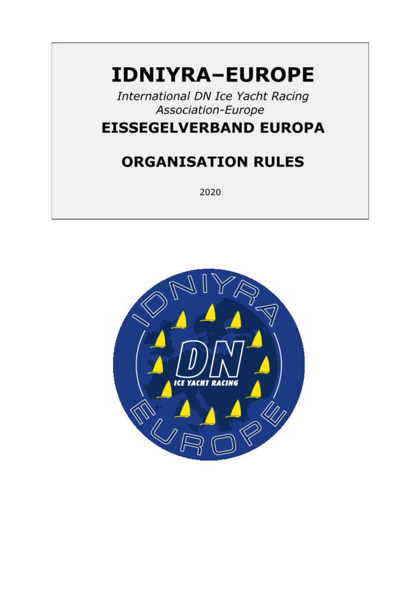# **IDNIYRA-EUROPE**

International DN Ice Yacht Racing Association-Europe

# **EISSEGELVERBAND EUROPA**

# **ORGANISATION RULES**

2020

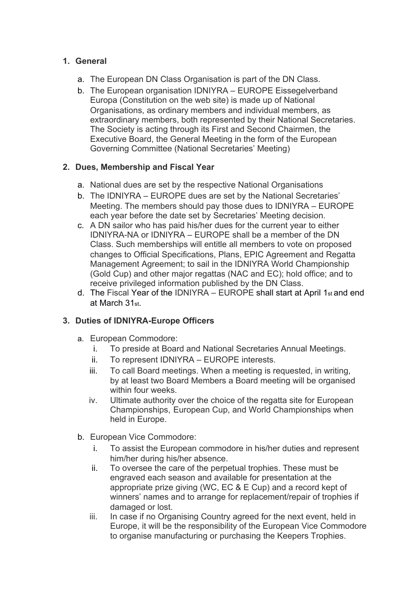# **1. General**

- a. The European DN Class Organisation is part of the DN Class.
- b. The European organisation IDNIYRA EUROPE Eissegelverband Europa (Constitution on the web site) is made up of National Organisations, as ordinary members and individual members, as extraordinary members, both represented by their National Secretaries. The Society is acting through its First and Second Chairmen, the Executive Board, the General Meeting in the form of the European Governing Committee (National Secretaries' Meeting)

## **2. Dues, Membership and Fiscal Year**

- a. National dues are set by the respective National Organisations
- b. The IDNIYRA EUROPE dues are set by the National Secretaries' Meeting. The members should pay those dues to IDNIYRA – EUROPE each year before the date set by Secretaries' Meeting decision.
- c. A DN sailor who has paid his/her dues for the current year to either IDNIYRA-NA or IDNIYRA – EUROPE shall be a member of the DN Class. Such memberships will entitle all members to vote on proposed changes to Official Specifications, Plans, EPIC Agreement and Regatta Management Agreement; to sail in the IDNIYRA World Championship (Gold Cup) and other major regattas (NAC and EC); hold office; and to receive privileged information published by the DN Class.
- d. The Fiscal Year of the IDNIYRA EUROPE shall start at April 1st and end at March 31st.

### **3. Duties of IDNIYRA-Europe Officers**

- a. European Commodore:
	- i. To preside at Board and National Secretaries Annual Meetings.
	- ii. To represent IDNIYRA EUROPE interests.
	- iii. To call Board meetings. When a meeting is requested, in writing, by at least two Board Members a Board meeting will be organised within four weeks.
	- iv. Ultimate authority over the choice of the regatta site for European Championships, European Cup, and World Championships when held in Europe.
- b. European Vice Commodore:
	- i. To assist the European commodore in his/her duties and represent him/her during his/her absence.
	- ii. To oversee the care of the perpetual trophies. These must be engraved each season and available for presentation at the appropriate prize giving (WC, EC & E Cup) and a record kept of winners' names and to arrange for replacement/repair of trophies if damaged or lost.
	- iii. In case if no Organising Country agreed for the next event, held in Europe, it will be the responsibility of the European Vice Commodore to organise manufacturing or purchasing the Keepers Trophies.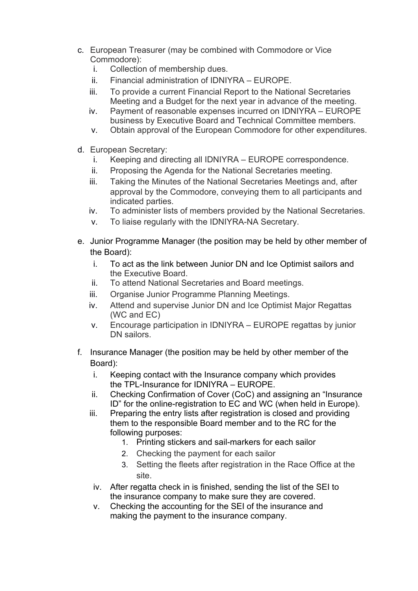- c. European Treasurer (may be combined with Commodore or Vice Commodore):
	- i. Collection of membership dues.
	- ii. Financial administration of IDNIYRA EUROPE.
	- iii. To provide a current Financial Report to the National Secretaries Meeting and a Budget for the next year in advance of the meeting.
	- iv. Payment of reasonable expenses incurred on IDNIYRA EUROPE business by Executive Board and Technical Committee members.
	- v. Obtain approval of the European Commodore for other expenditures.
- d. European Secretary:
	- i. Keeping and directing all IDNIYRA EUROPE correspondence.
	- ii. Proposing the Agenda for the National Secretaries meeting.
	- iii. Taking the Minutes of the National Secretaries Meetings and, after approval by the Commodore, conveying them to all participants and indicated parties.
	- iv. To administer lists of members provided by the National Secretaries.
	- v. To liaise regularly with the IDNIYRA-NA Secretary.
- e. Junior Programme Manager (the position may be held by other member of the Board):
	- i. To act as the link between Junior DN and Ice Optimist sailors and the Executive Board.
	- ii. To attend National Secretaries and Board meetings.
	- iii. Organise Junior Programme Planning Meetings.
	- iv. Attend and supervise Junior DN and Ice Optimist Major Regattas (WC and EC)
	- v. Encourage participation in IDNIYRA EUROPE regattas by junior DN sailors.
- f. Insurance Manager (the position may be held by other member of the Board):
	- i. Keeping contact with the Insurance company which provides the TPL-Insurance for IDNIYRA – EUROPE.
	- ii. Checking Confirmation of Cover (CoC) and assigning an "Insurance ID" for the online-registration to EC and WC (when held in Europe).
	- iii. Preparing the entry lists after registration is closed and providing them to the responsible Board member and to the RC for the following purposes:
		- 1. Printing stickers and sail-markers for each sailor
		- 2. Checking the payment for each sailor
		- 3. Setting the fleets after registration in the Race Office at the site.
		- iv. After regatta check in is finished, sending the list of the SEI to the insurance company to make sure they are covered.
		- v. Checking the accounting for the SEI of the insurance and making the payment to the insurance company.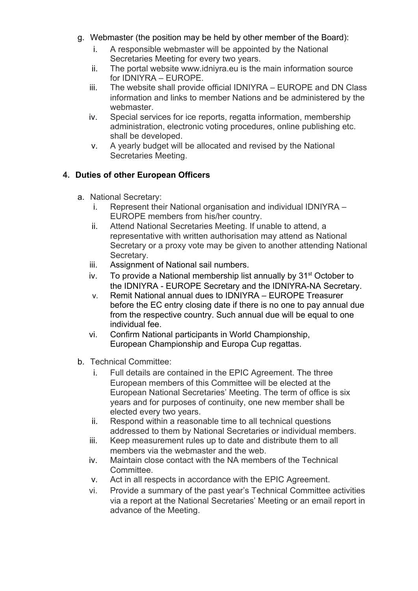- g. Webmaster (the position may be held by other member of the Board):
	- i. A responsible webmaster will be appointed by the National Secretaries Meeting for every two years.
	- ii. The portal website [www.idniyra.eu](http://www.idniyra.eu/) is the main information source for IDNIYRA – EUROPE.
	- iii. The website shall provide official IDNIYRA EUROPE and DN Class information and links to member Nations and be administered by the webmaster.
	- iv. Special services for ice reports, regatta information, membership administration, electronic voting procedures, online publishing etc. shall be developed.
	- v. A yearly budget will be allocated and revised by the National Secretaries Meeting.

# **4. Duties of other European Officers**

- a. National Secretary:
	- i. Represent their National organisation and individual IDNIYRA EUROPE members from his/her country.
	- ii. Attend National Secretaries Meeting. If unable to attend, a representative with written authorisation may attend as National Secretary or a proxy vote may be given to another attending National Secretary.
	- iii. Assignment of National sail numbers.
	- iv. To provide a National membership list annually by  $31<sup>st</sup>$  October to the IDNIYRA - EUROPE Secretary and the IDNIYRA-NA Secretary.
	- v. Remit National annual dues to IDNIYRA EUROPE Treasurer before the EC entry closing date if there is no one to pay annual due from the respective country. Such annual due will be equal to one individual fee.
	- vi. Confirm National participants in World Championship, European Championship and Europa Cup regattas.
- b. Technical Committee:
	- i. Full details are contained in the EPIC Agreement. The three European members of this Committee will be elected at the European National Secretaries' Meeting. The term of office is six years and for purposes of continuity, one new member shall be elected every two years.
	- ii. Respond within a reasonable time to all technical questions addressed to them by National Secretaries or individual members.
	- iii. Keep measurement rules up to date and distribute them to all members via the webmaster and the web.
	- iv. Maintain close contact with the NA members of the Technical Committee.
	- v. Act in all respects in accordance with the EPIC Agreement.
	- vi. Provide a summary of the past year's Technical Committee activities via a report at the National Secretaries' Meeting or an email report in advance of the Meeting.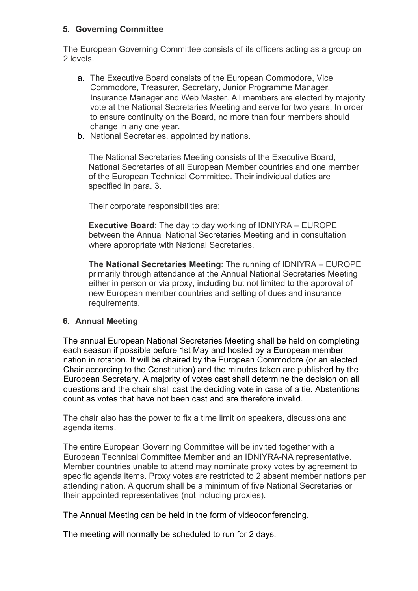### **5. Governing Committee**

The European Governing Committee consists of its officers acting as a group on 2 levels.

- a. The Executive Board consists of the European Commodore, Vice Commodore, Treasurer, Secretary, Junior Programme Manager, Insurance Manager and Web Master. All members are elected by majority vote at the National Secretaries Meeting and serve for two years. In order to ensure continuity on the Board, no more than four members should change in any one year.
- b. National Secretaries, appointed by nations.

The National Secretaries Meeting consists of the Executive Board, National Secretaries of all European Member countries and one member of the European Technical Committee. Their individual duties are specified in para. 3.

Their corporate responsibilities are:

**Executive Board**: The day to day working of IDNIYRA – EUROPE between the Annual National Secretaries Meeting and in consultation where appropriate with National Secretaries.

**The National Secretaries Meeting**: The running of IDNIYRA – EUROPE primarily through attendance at the Annual National Secretaries Meeting either in person or via proxy, including but not limited to the approval of new European member countries and setting of dues and insurance requirements.

### **6. Annual Meeting**

The annual European National Secretaries Meeting shall be held on completing each season if possible before 1st May and hosted by a European member nation in rotation. It will be chaired by the European Commodore (or an elected Chair according to the Constitution) and the minutes taken are published by the European Secretary. A majority of votes cast shall determine the decision on all questions and the chair shall cast the deciding vote in case of a tie. Abstentions count as votes that have not been cast and are therefore invalid.

The chair also has the power to fix a time limit on speakers, discussions and agenda items.

The entire European Governing Committee will be invited together with a European Technical Committee Member and an IDNIYRA-NA representative. Member countries unable to attend may nominate proxy votes by agreement to specific agenda items. Proxy votes are restricted to 2 absent member nations per attending nation. A quorum shall be a minimum of five National Secretaries or their appointed representatives (not including proxies).

The Annual Meeting can be held in the form of videoconferencing.

The meeting will normally be scheduled to run for 2 days.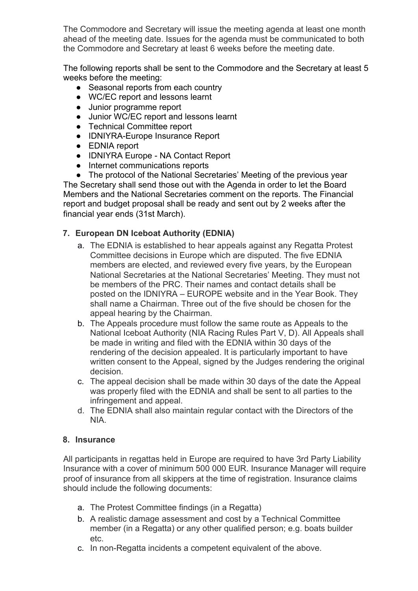The Commodore and Secretary will issue the meeting agenda at least one month ahead of the meeting date. Issues for the agenda must be communicated to both the Commodore and Secretary at least 6 weeks before the meeting date.

The following reports shall be sent to the Commodore and the Secretary at least 5 weeks before the meeting:

- Seasonal reports from each country
- WC/EC report and lessons learnt
- Junior programme report
- Junior WC/EC report and lessons learnt
- Technical Committee report
- IDNIYRA-Europe Insurance Report
- EDNIA report
- IDNIYRA Europe NA Contact Report
- Internet communications reports

● The protocol of the National Secretaries' Meeting of the previous year The Secretary shall send those out with the Agenda in order to let the Board Members and the National Secretaries comment on the reports. The Financial report and budget proposal shall be ready and sent out by 2 weeks after the financial year ends (31st March).

# **7. European DN Iceboat Authority (EDNIA)**

- a. The EDNIA is established to hear appeals against any Regatta Protest Committee decisions in Europe which are disputed. The five EDNIA members are elected, and reviewed every five years, by the European National Secretaries at the National Secretaries' Meeting. They must not be members of the PRC. Their names and contact details shall be posted on the IDNIYRA – EUROPE website and in the Year Book. They shall name a Chairman. Three out of the five should be chosen for the appeal hearing by the Chairman.
- b. The Appeals procedure must follow the same route as Appeals to the National Iceboat Authority (NIA Racing Rules Part V, D). All Appeals shall be made in writing and filed with the EDNIA within 30 days of the rendering of the decision appealed. It is particularly important to have written consent to the Appeal, signed by the Judges rendering the original decision.
- c. The appeal decision shall be made within 30 days of the date the Appeal was properly filed with the EDNIA and shall be sent to all parties to the infringement and appeal.
- d. The EDNIA shall also maintain regular contact with the Directors of the NIA.

### **8. Insurance**

All participants in regattas held in Europe are required to have 3rd Party Liability Insurance with a cover of minimum 500 000 EUR. Insurance Manager will require proof of insurance from all skippers at the time of registration. Insurance claims should include the following documents:

- a. The Protest Committee findings (in a Regatta)
- b. A realistic damage assessment and cost by a Technical Committee member (in a Regatta) or any other qualified person; e.g. boats builder etc.
- c. In non-Regatta incidents a competent equivalent of the above.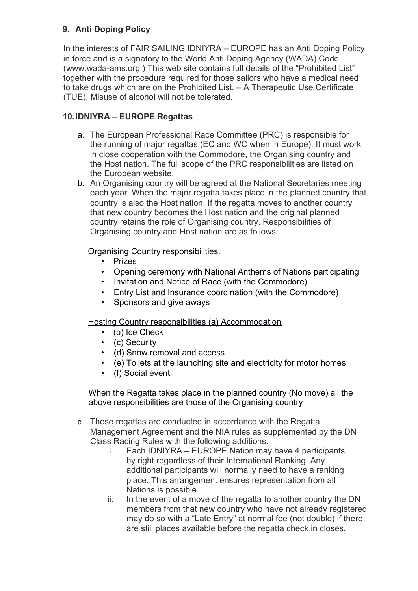# **9. Anti Doping Policy**

In the interests of FAIR SAILING IDNIYRA – EUROPE has an Anti Doping Policy in force and is a signatory to the World Anti Doping Agency (WADA) Code. [\(www.wada-ams.org](http://www.wada-ams.org/) ) This web site contains full details of the "Prohibited List" together with the procedure required for those sailors who have a medical need to take drugs which are on the Prohibited List. – A Therapeutic Use Certificate (TUE). Misuse of alcohol will not be tolerated.

# **10.IDNIYRA – EUROPE Regattas**

- a. The European Professional Race Committee (PRC) is responsible for the running of major regattas (EC and WC when in Europe). It must work in close cooperation with the Commodore, the Organising country and the Host nation. The full scope of the PRC responsibilities are listed on the European website.
- b. An Organising country will be agreed at the National Secretaries meeting each year. When the major regatta takes place in the planned country that country is also the Host nation. If the regatta moves to another country that new country becomes the Host nation and the original planned country retains the role of Organising country. Responsibilities of Organising country and Host nation are as follows:

## Organising Country responsibilities.

- Prizes
- Opening ceremony with National Anthems of Nations participating
- Invitation and Notice of Race (with the Commodore)
- Entry List and Insurance coordination (with the Commodore)
- Sponsors and give aways

### Hosting Country responsibilities (a) Accommodation

- (b) Ice Check
- (c) Security
- (d) Snow removal and access
- (e) Toilets at the launching site and electricity for motor homes
- (f) Social event

When the Regatta takes place in the planned country (No move) all the above responsibilities are those of the Organising country

- c. These regattas are conducted in accordance with the Regatta Management Agreement and the NIA rules as supplemented by the DN Class Racing Rules with the following additions:
	- i. Each IDNIYRA EUROPE Nation may have 4 participants by right regardless of their International Ranking. Any additional participants will normally need to have a ranking place. This arrangement ensures representation from all Nations is possible.
	- ii. In the event of a move of the regatta to another country the DN members from that new country who have not already registered may do so with a "Late Entry" at normal fee (not double) if there are still places available before the regatta check in closes.